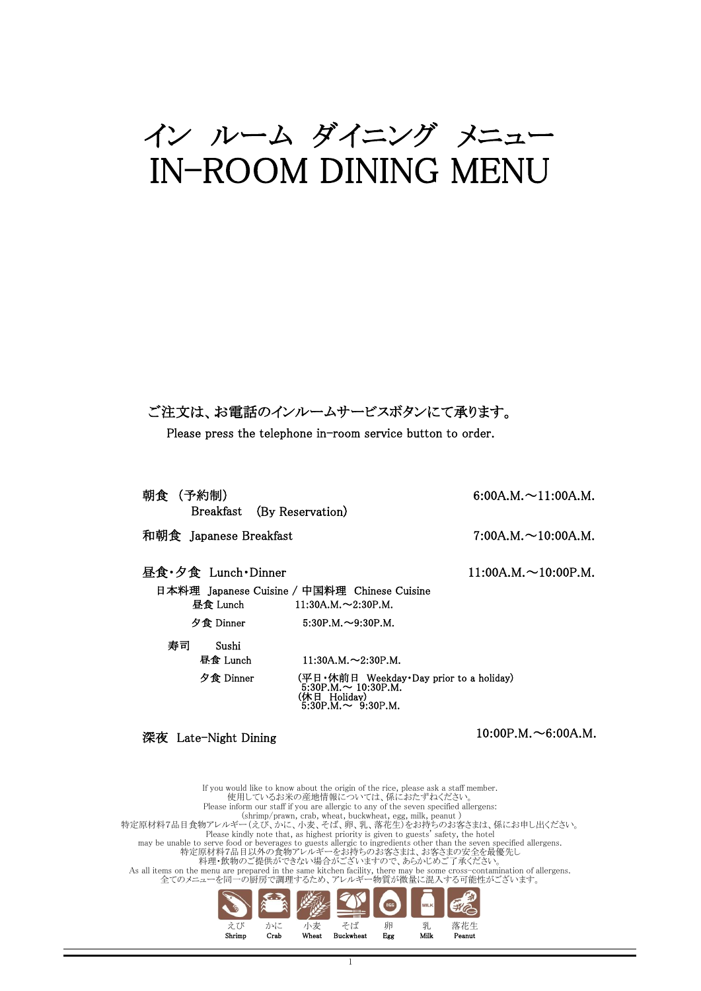# イン ルーム ダイニング メニュー IN-ROOM DINING MENU

ご注文は、お電話のインルームサービスボタンにて承ります。

Please press the telephone in-room service button to order.

| 朝食 (予約制)<br>Breakfast (By Reservation) |                                                                                                                                                   | 6:00A.M. $\sim$ 11:00A.M.  |
|----------------------------------------|---------------------------------------------------------------------------------------------------------------------------------------------------|----------------------------|
| 和朝食 Japanese Breakfast                 |                                                                                                                                                   | $7:00A.M. \sim 10:00A.M.$  |
| 昼食・夕食 Lunch・Dinner                     |                                                                                                                                                   | $11:00A.M. \sim 10:00P.M.$ |
| 昼食 Lunch                               | 日本料理 Japanese Cuisine / 中国料理 Chinese Cuisine<br>$11:30A.M. \sim 2:30P.M.$                                                                         |                            |
| 夕食 Dinner                              | $5:30P.M. \sim 9:30P.M.$                                                                                                                          |                            |
| 寿司<br>Sushi<br>昼食 Lunch<br>夕食 Dinner   | $11:30A.M. \sim 2:30P.M.$<br>(平日 • 休前日 Weekday • Day prior to a holiday)<br>$5:30P.M. \sim 10:30P.M.$<br>(休日 Holidav)<br>5:30P.M. $\sim$ 9:30P.M. |                            |
|                                        |                                                                                                                                                   |                            |

深夜 Late-Night Dining

 $10:00P.M. \sim 6:00A.M.$ 

えび かに 小麦 そば 卵 乳 落花生 Shrimp Crab Wheat Buckwheat Egg Milk Peanut 特定原材料7品目食物アレルギー(えび、かに、小麦、そば、卵、乳、落花生)をお持ちのお客さまは、係にお申し出ください。<br>Please kindly note that, as highest priority is given to guests' safety, the hotel<br>may be unable to serve food or beverages to guests allergic to ingredients oth As all items on the menu are prepared in the same kitchen facility, there may be some cross-contamination of allergens.<br>全てのメニューを同一の厨房で調理するため、アレルギー物質が微量に混入する可能性がございます。 If you would like to know about the origin of the rice, please ask a staff member.<br>使用しているお米の産地情報については、係におたずねください。<br>Please inform our staff if you are allergic to any of the seven specified allergens: (shrimp/prawn, crab, wheat, buckwheat, egg, milk, peanut )

 $\overline{\phantom{a}}$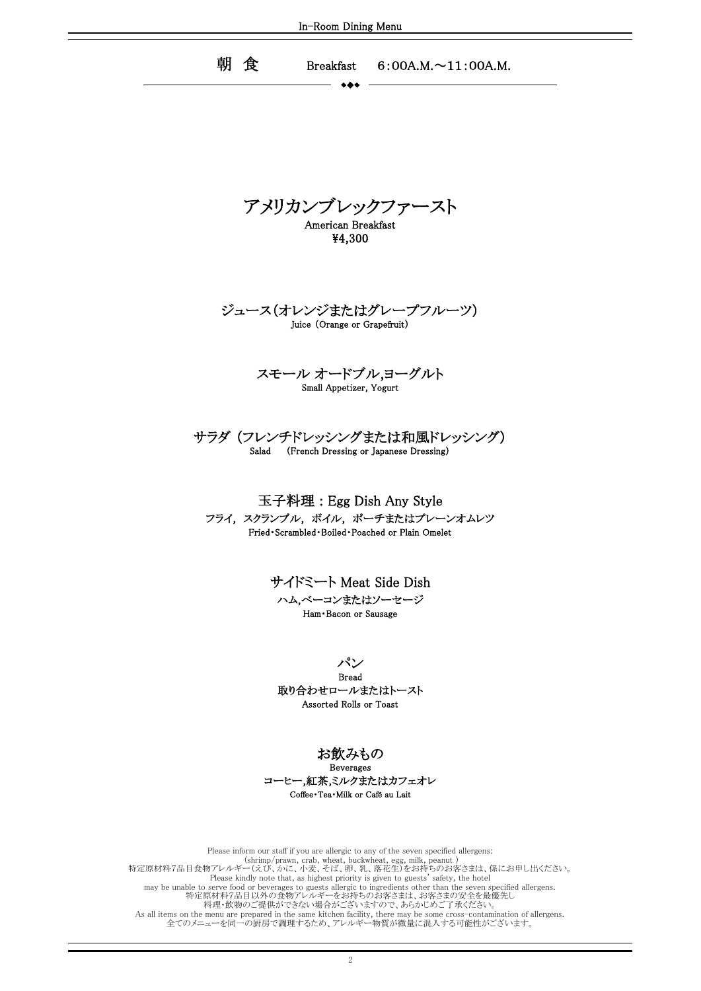朝 食 Breakfast 6:00A.M.~11:00A.M. Breakfast

アメリカンブレックファースト American Breakfast

¥4,300

Juice (Orange or Grapefruit) ジュース(オレンジまたはグレープフルーツ)

### Small Appetizer, Yogurt スモール オードブル,ヨーグルト

### Salad (French Dressing or Japanese Dressing) サラダ (フレンチドレッシングまたは和風ドレッシング)

玉子料理 : Egg Dish Any Style Fried・Scrambled・Boiled・Poached or Plain Omelet フライ, スクランブル, ボイル, ポーチまたはプレーンオムレツ

> サイドミート Meat Side Dish Ham・Bacon or Sausage ハム,ベーコンまたはソーセージ

パン Assorted Rolls or Toast 取り合わせロールまたはトースト Bread

お飲みもの

Coffee・Tea・Milk or Café au Lait Beverages コーヒー,紅茶,ミルクまたはカフェオレ

特定原材料7品目以外の食物アレルギーをお持ちのお客さまは、お客さまの安全を最優先し 料理・飲物のご提供ができない場合がございますので、あらかじめご了承ください。 As all items on the menu are prepared in the same kitchen facility, there may be some cross-contamination of allergens. 全てのメニューを同一の厨房で調理するため、アレルギー物質が微量に混入する可能性がございます。 Please inform our staff if you are allergic to any of the seven specified allergens:<br>(shrimp/prawn, crab, wheat, buckwheat, egg, milk, peanut )<br>特定原材料7品目食物アレルギー(えび、かに、小麦、そば、卵、乳、落花生)をお持ちのお客さまは、係にお申し出ください。 Please kindly note that, as highest priority is given to guests' safety, the hotel may be unable to serve food or beverages to guests allergic to ingredients other than the seven specified allergens.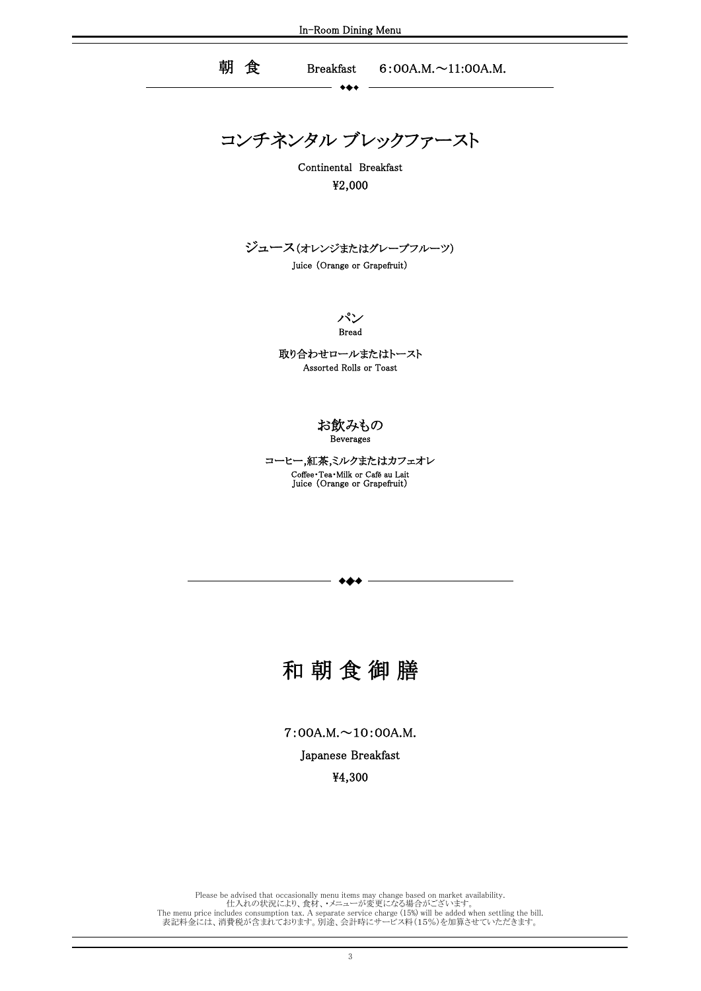$+ +$ 

朝 食 Breakfast 6:00A.M.~11:00A.M.

コンチネンタル ブレックファースト

Continental Breakfast ¥2,000

ジュース(オレンジまたはグレープフルーツ)

Juice (Orange or Grapefruit)

パン Bread

取り合わせロールまたはトースト Assorted Rolls or Toast

### お飲みもの Beverages

Juice (Orange or Grapefruit) Coffee・Tea・Milk or Café au Lait コーヒー,紅茶,ミルクまたはカフェオレ

# 和 朝 食 御 膳

7:00A.M.~10:00A.M.

Japanese Breakfast

¥4,300

The menu price includes consumption tax. A separate service charge (15%) will be added when settling the bill. 表記料金には、消費税が含まれております。別途、会計時にサービス料(15%)を加算させていただきます。 Please be advised that occasionally menu items may change based on market availability. 仕入れの状況により、食材、・メニューが変更になる場合がございます。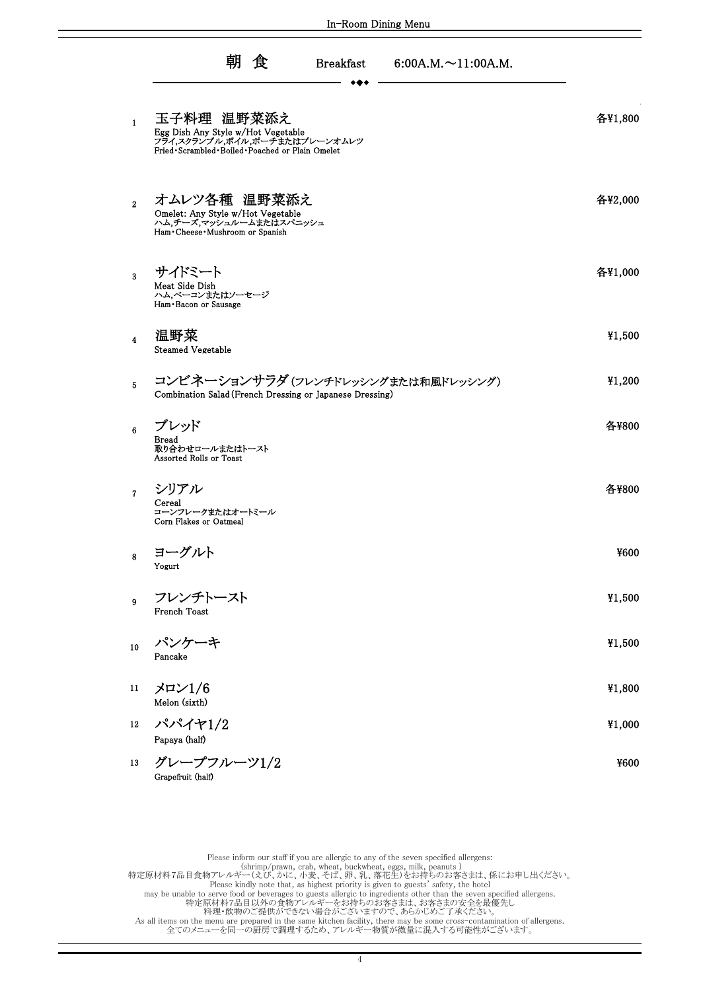|                         | 朝 食<br><b>Breakfast</b><br>$6:00A.M. \sim 11:00A.M.$                                                                                      |         |
|-------------------------|-------------------------------------------------------------------------------------------------------------------------------------------|---------|
| $\mathbf{1}$            | 玉子料理 温野菜添え<br>Egg Dish Any Style w/Hot Vegetable<br>フライ,スクランブル,ボイル,ポーチまたはプレーンオムレツ<br>Fried · Scrambled · Boiled · Poached or Plain Omelet | 各¥1,800 |
| $\overline{2}$          | オムレツ各種 温野菜添え<br>Omelet: Any Style w/Hot Vegetable<br>ハム,チーズ,マッシュルームまたはスパニッシュ<br>Ham · Cheese · Mushroom or Spanish                        | 各¥2,000 |
| $\mathbf{3}$            | サイドミート<br>Meat Side Dish<br>ハム,ベーコンまたはソーセージ<br>Ham Bacon or Sausage                                                                       | 各¥1,000 |
| $\overline{\mathbf{4}}$ | 温野菜<br>Steamed Vegetable                                                                                                                  | ¥1,500  |
| 5                       | コンビネーションサラダ (フレンチドレッシングまたは和風ドレッシング)<br>Combination Salad (French Dressing or Japanese Dressing)                                           | ¥1,200  |
| 6                       | ブレッド<br><b>Bread</b><br>取り合わせロールまたはトースト<br>Assorted Rolls or Toast                                                                        | 各¥800   |
| $\mathbf{7}$            | シリアル<br>Cereal<br>コーンフレークまたはオートミール<br>Corn Flakes or Oatmeal                                                                              | 各¥800   |
| 8                       | ヨーグルト<br>Yogurt                                                                                                                           | ¥600    |
| 9                       | フレンチトースト<br>French Toast                                                                                                                  | ¥1,500  |
| 10                      | パンケーキ<br>Pancake                                                                                                                          | ¥1,500  |
| 11                      | $\times$ P $\times$ 1/6<br>Melon (sixth)                                                                                                  | ¥1,800  |
| 12                      | パパイヤ1/2<br>Papaya (half)                                                                                                                  | ¥1,000  |
| 13                      | グレープフルーツ1/2<br>Grapefruit (half)                                                                                                          | ¥600    |

Please inform our staff if you are allergic to any of the seven specified allergens:<br>(shrimp/prawn, crab, wheat, buckwheat, eggs, milk, peanuts )<br>特定原材料7品目食物アレルギー(えび、かに、小麦、そば、卵、乳、落花生)をお持ちのお客さまは、係にお申し出ください。

Please kindly note that, as highest priority is given to guests' safety, the hotel

may be unable to serve food or beverages to guests allergic to ingredients other than the seven specified allergens.<br>特定原材料7品目以外の食物アレルギーをお持ちのお客さまは、お客さまの安全を最優先し<br># 相手 教物のご提供ができない場合がございますので、あらかじめご了承ください。<br>As all items on the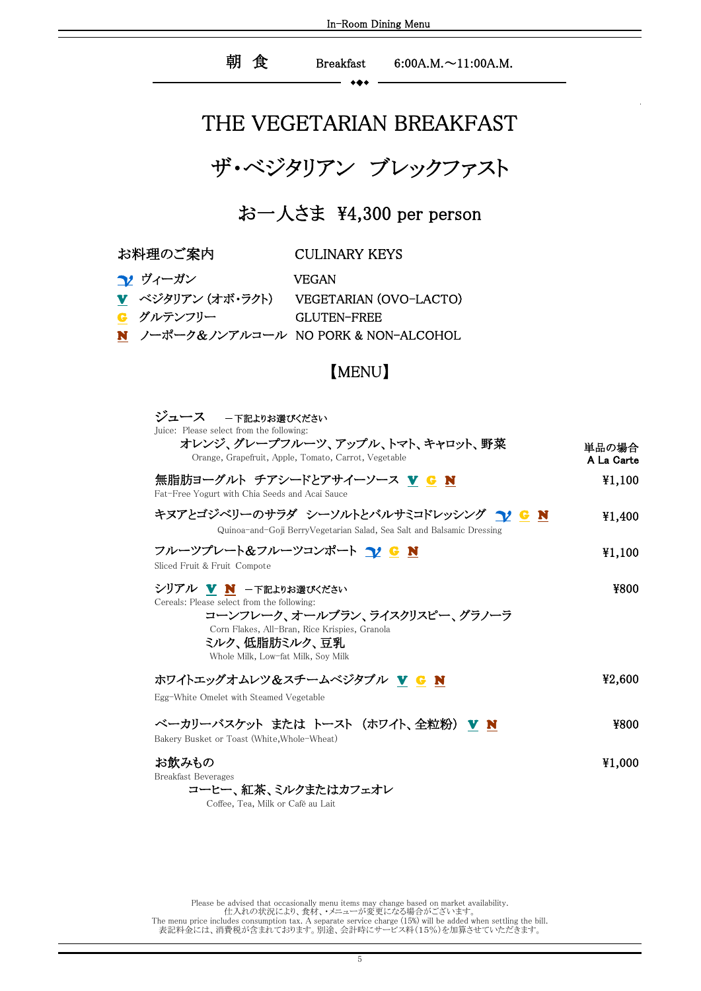### 朝 食 Breakfast 6:00A.M.~11:00A.M.

## THE VEGETARIAN BREAKFAST

ザ・ベジタリアン ブレックファスト

お一人さま ¥4,300 per person

お料理のご案内 CULINARY KEYS

| <u>↑</u> ヴィーガン | <b>VEGAN</b>                            |
|----------------|-----------------------------------------|
|                | ▼ ベジタリアン(オボ・ラクト) VEGETARIAN (OVO-LACTO) |
| G グルテンフリー      | GLUTEN-FREE                             |
|                | N ノーポーク&ノンアルコール NO PORK & NON-ALCOHOL   |

#### $\blacksquare$  MENO $\blacksquare$ 【MENU】

| ジュース 一下記よりお選びください<br>Juice: Please select from the following:                                                                                                                                                |                     |
|--------------------------------------------------------------------------------------------------------------------------------------------------------------------------------------------------------------|---------------------|
| オレンジ、グレープフルーツ、アップル、トマト、キャロット、野菜<br>Orange, Grapefruit, Apple, Tomato, Carrot, Vegetable                                                                                                                      | 単品の場合<br>A La Carte |
| 無脂肪ヨーグルト チアシードとアサイーソース Ⅴ G N<br>Fat-Free Yogurt with Chia Seeds and Acai Sauce                                                                                                                               | ¥1,100              |
| キヌアとゴジベリーのサラダ シーソルトとバルサミコドレッシング 12 G N<br>Quinoa-and-Goji BerryVegetarian Salad, Sea Salt and Balsamic Dressing                                                                                              | ¥1,400              |
| フルーツプレート&フルーツコンポート 12 G N<br>Sliced Fruit & Fruit Compote                                                                                                                                                    | ¥1,100              |
| シリアル ▼ N -下記よりお選びください<br>Cereals: Please select from the following:<br>コーンフレーク、オールブラン、ライスクリスピー、グラノーラ<br>Corn Flakes, All-Bran, Rice Krispies, Granola<br>ミルク、低脂肪ミルク、豆乳<br>Whole Milk, Low-fat Milk, Soy Milk | ¥800                |
| ホワイトエッグオムレツ&スチームベジタブル V G N<br>Egg-White Omelet with Steamed Vegetable                                                                                                                                       | ¥2,600              |
| ベーカリーバスケット または トースト (ホワイト、全粒粉) Ⅴ N<br>Bakery Busket or Toast (White, Whole-Wheat)                                                                                                                            | ¥800                |
| お飲みもの<br><b>Breakfast Beverages</b><br>コーヒー、紅茶、ミルクまたはカフェオレ<br>Coffee, Tea, Milk or Café au Lait                                                                                                              | ¥1,000              |

The menu price includes consumption tax. A separate service charge (15%) will be added when settling the bill. 表記料金には、消費税が含まれております。別途、会計時にサービス料(15%)を加算させていただきます。 Please be advised that occasionally menu items may change based on market availability. 仕入れの状況により、食材、・メニューが変更になる場合がございます。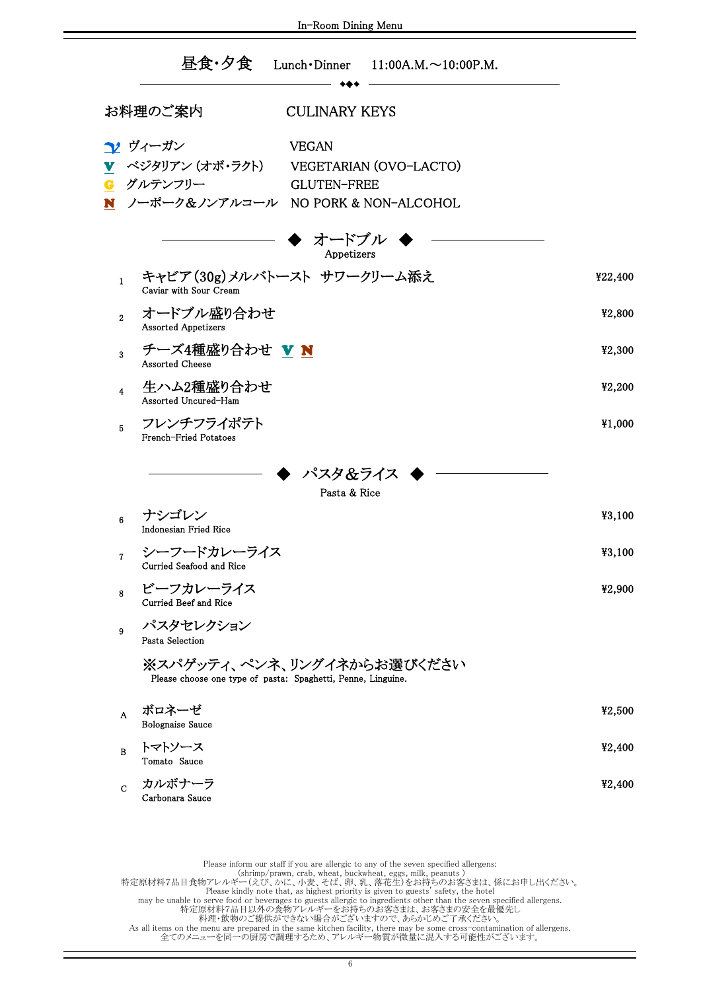|                         | 昼食・夕食<br>Lunch • Dinner $11:00A.M. \sim 10:00P.M.$                                                                                                              |         |
|-------------------------|-----------------------------------------------------------------------------------------------------------------------------------------------------------------|---------|
|                         | お料理のご案内<br><b>CULINARY KEYS</b>                                                                                                                                 |         |
|                         | ?♪ ヴィーガン<br><b>VEGAN</b><br>▼ ベジタリアン(オボ・ラクト)<br>VEGETARIAN (OVO-LACTO)<br><mark>G</mark> グルテンフリー<br><b>GLUTEN-FREE</b><br>N ノーポーク&ノンアルコール NO PORK & NON-ALCOHOL |         |
|                         | オードブル<br>Appetizers                                                                                                                                             |         |
| $\mathbf{1}$            | キャビア(30g)メルバトースト サワークリーム添え<br>Caviar with Sour Cream                                                                                                            | ¥22,400 |
| $\mathbf{2}$            | オードブル盛り合わせ<br><b>Assorted Appetizers</b>                                                                                                                        | ¥2,800  |
| 3                       | チーズ4種盛り合わせ V N<br><b>Assorted Cheese</b>                                                                                                                        | ¥2,300  |
| $\overline{\mathbf{4}}$ | 生ハム2種盛り合わせ<br>Assorted Uncured-Ham                                                                                                                              | ¥2,200  |
| 5                       | フレンチフライポテト<br>French-Fried Potatoes                                                                                                                             | ¥1,000  |
|                         | パスタ&ライス                                                                                                                                                         |         |
| 6                       | Pasta & Rice<br>ナシゴレン<br><b>Indonesian Fried Rice</b>                                                                                                           | ¥3,100  |
| $\overline{7}$          | シーフードカレーライス<br>Curried Seafood and Rice                                                                                                                         | ¥3,100  |
| 8                       | ビーフカレーライス<br>Curried Beef and Rice                                                                                                                              | ¥2,900  |
| 9                       | パスタセレクション<br>Pasta Selection                                                                                                                                    |         |
|                         | ※スパゲッティ、ペンネ、リングイネからお選びください<br>Please choose one type of pasta: Spaghetti, Penne, Linguine.                                                                      |         |
| A                       | ボロネーゼ<br><b>Bolognaise Sauce</b>                                                                                                                                | ¥2,500  |
| в                       | トマトソース<br>Tomato Sauce                                                                                                                                          | ¥2,400  |
| $\mathbf C$             | カルボナーラ<br>Carbonara Sauce                                                                                                                                       | ¥2,400  |
|                         |                                                                                                                                                                 |         |

As all items on the menu are prepared in the same kitchen facility, there may be some cross-contamination of allergens.<br>全てのメニューを同一の厨房で調理するため、アレルギー物質が微量に混入する可能性がございます。 Please inform our staff if you are allergic to any of the seven specified allergens:<br>
(shrimp/prawn, crab, wheat, buckwheat, eggs, milk, peanuts)<br>
#定原材料7品目食物アレルギー(えび、かに、小麦、そば、卵、乳、落花生)をお持ちのお客さまは、係にお申し出ください。<br>
Please kindly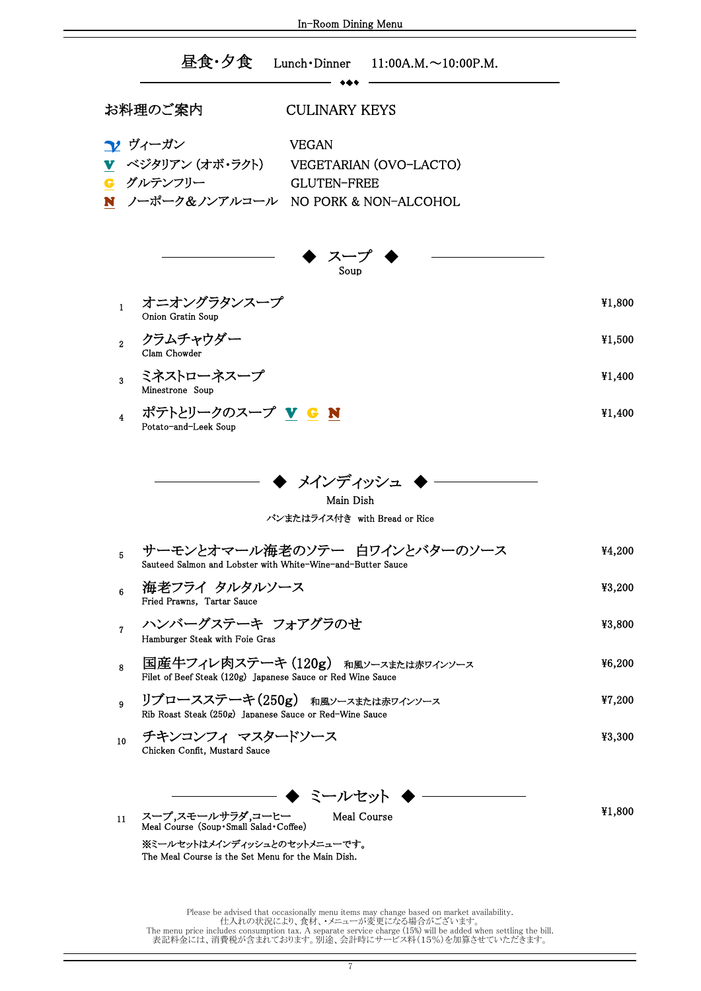| In-Room Dining Menu                                                                                                                                                                      |        |  |  |
|------------------------------------------------------------------------------------------------------------------------------------------------------------------------------------------|--------|--|--|
| 昼食・夕食<br>Lunch $\cdot$ Dinner 11:00A.M. $\sim$ 10:00P.M.                                                                                                                                 |        |  |  |
| お料理のご案内<br><b>CULINARY KEYS</b>                                                                                                                                                          |        |  |  |
| <b>1</b> ヴィーガン<br><b>VEGAN</b><br><u>▼</u> ベジタリアン(オボ・ラクト) VEGETARIAN (OVO-LACTO)<br>G グルテンフリー<br><b>GLUTEN-FREE</b><br>N ノーポーク&ノンアルコール NO PORK & NON-ALCOHOL                             |        |  |  |
| スープ<br>Soup                                                                                                                                                                              |        |  |  |
| オニオングラタンスープ<br>$\mathbf{1}$<br>Onion Gratin Soup                                                                                                                                         | ¥1,800 |  |  |
| クラムチャウダー<br>$\overline{2}$<br>Clam Chowder                                                                                                                                               | ¥1,500 |  |  |
| ミネストローネスープ<br>3<br>Minestrone Soup                                                                                                                                                       | ¥1,400 |  |  |
| ポテトとリークのスープ <u>V G N</u><br>4<br>Potato-and-Leek Soup                                                                                                                                    | ¥1,400 |  |  |
| ▶ メインディッシュ<br>Main Dish<br>パンまたはライス付き with Bread or Rice                                                                                                                                 |        |  |  |
| サーモンとオマール海老のソテー 白ワインとバターのソース<br>5<br>Sauteed Salmon and Lobster with White-Wine-and-Butter Sauce                                                                                         | ¥4,200 |  |  |
| 海老フライ タルタルソース<br>6<br>Fried Prawns, Tartar Sauce                                                                                                                                         | ¥3,200 |  |  |
| ハンバーグステーキ フォアグラのせ<br>7<br>Hamburger Steak with Foie Gras                                                                                                                                 | ¥3,800 |  |  |
| 国産牛フィレ肉ステーキ (120g) 和風ソースまたは赤ワインソース<br>8<br>Filet of Beef Steak (120g) Japanese Sauce or Red Wine Sauce                                                                                   | 46,200 |  |  |
| リブロースステーキ(250g) 和風ソースまたは赤ワインソース<br>9<br>Rib Roast Steak (250g) Japanese Sauce or Red-Wine Sauce                                                                                          | ¥7,200 |  |  |
| チキンコンフィ マスタードソース<br>10<br>Chicken Confit, Mustard Sauce                                                                                                                                  | ¥3,300 |  |  |
| ◆ ミールセット ◆ 一<br>スープ,スモールサラダ,コーヒー<br>Meal Course<br>11<br>Meal Course (Soup · Small Salad · Coffee)<br>※ミールセットはメインディッシュとのセットメニューです。<br>The Meal Course is the Set Menu for the Main Dish. | ¥1,800 |  |  |

表記料金には、消費税が含まれております。別途、会計時にサービス料(15%)を加算させていただきます。 Please be advised that occasionally menu items may change based on market availability.<br>仕入れの状況により、食材、・メニューが変更になる場合がございます。<br>The menu price includes consumption tax. A separate service charge (15%) will be added when settli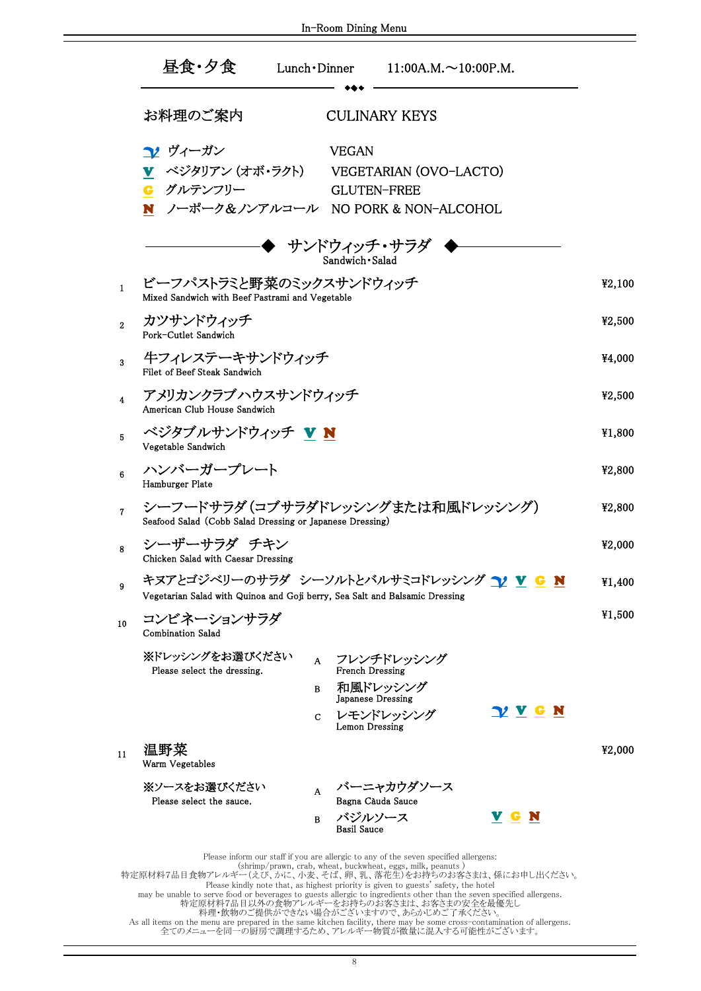|                | 昼食・夕食                                                                                                                                              | Lunch • Dinner               | $11:00A.M. \sim 10:00P.M.$                                  |                |        |
|----------------|----------------------------------------------------------------------------------------------------------------------------------------------------|------------------------------|-------------------------------------------------------------|----------------|--------|
|                | お料理のご案内                                                                                                                                            |                              | <b>CULINARY KEYS</b>                                        |                |        |
|                | ▼ ヴィーガン<br>▼ ベジタリアン (オボ・ラクト)<br>G グルテンフリー<br>N ノーポーク&ノンアルコール NO PORK & NON-ALCOHOL                                                                 | <b>VEGAN</b>                 | VEGETARIAN (OVO-LACTO)<br><b>GLUTEN-FREE</b>                |                |        |
|                |                                                                                                                                                    | Sandwich · Salad             | ・ サンドウィッチ・サラダ ◆                                             |                |        |
| $\mathbf{1}$   | ビーフパストラミと野菜のミックスサンドウィッチ<br>Mixed Sandwich with Beef Pastrami and Vegetable                                                                         |                              |                                                             |                | ¥2,100 |
| $\overline{2}$ | カツサンドウィッチ<br>Pork-Cutlet Sandwich                                                                                                                  |                              |                                                             |                | ¥2,500 |
| 3              | 牛フィレステーキサンドウィッチ<br>Filet of Beef Steak Sandwich                                                                                                    |                              |                                                             |                | ¥4,000 |
| $\overline{4}$ | アメリカンクラブハウスサンドウィッチ<br>American Club House Sandwich                                                                                                 |                              |                                                             |                | ¥2,500 |
| 5              | ベジタブルサンドウィッチ VN<br>Vegetable Sandwich                                                                                                              |                              |                                                             |                | ¥1,800 |
| 6              | ハンバーガープレート<br>Hamburger Plate                                                                                                                      |                              |                                                             |                | ¥2,800 |
| $\overline{7}$ | シーフードサラダ(コブサラダドレッシングまたは和風ドレッシング)<br>Seafood Salad (Cobb Salad Dressing or Japanese Dressing)                                                       |                              |                                                             |                | ¥2,800 |
| 8              | シーザーサラダ チキン<br>Chicken Salad with Caesar Dressing                                                                                                  |                              |                                                             |                | ¥2,000 |
| 9              | キヌアとゴジベリーのサラダ シーソルトとバルサミコドレッシング <mark>つ/ V G N</mark><br>Vegetarian Salad with Quinoa and Goji berry, Sea Salt and Balsamic Dressing               |                              |                                                             |                | ¥1,400 |
| 10             | コンビネーションサラダ<br><b>Combination Salad</b>                                                                                                            |                              |                                                             |                | 41,500 |
|                | ※ドレッシングをお選びください<br>Please select the dressing.                                                                                                     |                              | A フレンチドレッシング<br><b>French Dressing</b><br>和風ドレッシング          |                |        |
|                |                                                                                                                                                    | B<br>C                       | Japanese Dressing<br>レモンドレッシング                              | <u>V V G N</u> |        |
| 11             | 温野菜<br>Warm Vegetables                                                                                                                             |                              | Lemon Dressing                                              |                | ¥2,000 |
|                | ※ソースをお選びください<br>Please select the sauce.                                                                                                           | A<br>B<br><b>Basil Sauce</b> | バーニャカウダソース<br>Bagna Càuda Sauce<br>バジルソース                   | V G N          |        |
|                | Please inform our staff if you are allergic to any of the seven specified allergens:<br>特定原材料7品目食物アレルギー(えび、かに、小麦、そば、卵、乳、落花生)をお持ちのお客さまは、係にお申し出ください。 |                              | (shrimp/prawn, crab, wheat, buckwheat, eggs, milk, peanuts) |                |        |

In-Room Dining Menu

料理・飲物のご提供ができない場合がございますので、あらかじめご了承ください。 特定原材料7品目食物アレルギー(えび、かに、小麦、そば、卵、乳、落花生)をお持ちのお客さまは、係にお申し出ください。<br>- Please kindly note that, as highest priority is given to guests' safety, the hotel<br>- may be unable to serve food or beverages to guests allergic to ingredients

As all items on the menu are prepared in the same kitchen facility, there may be some cross-contamination of allergens.<br>全てのメニューを同一の厨房で調理するため、アレルギー物質が微量に混入する可能性がございます。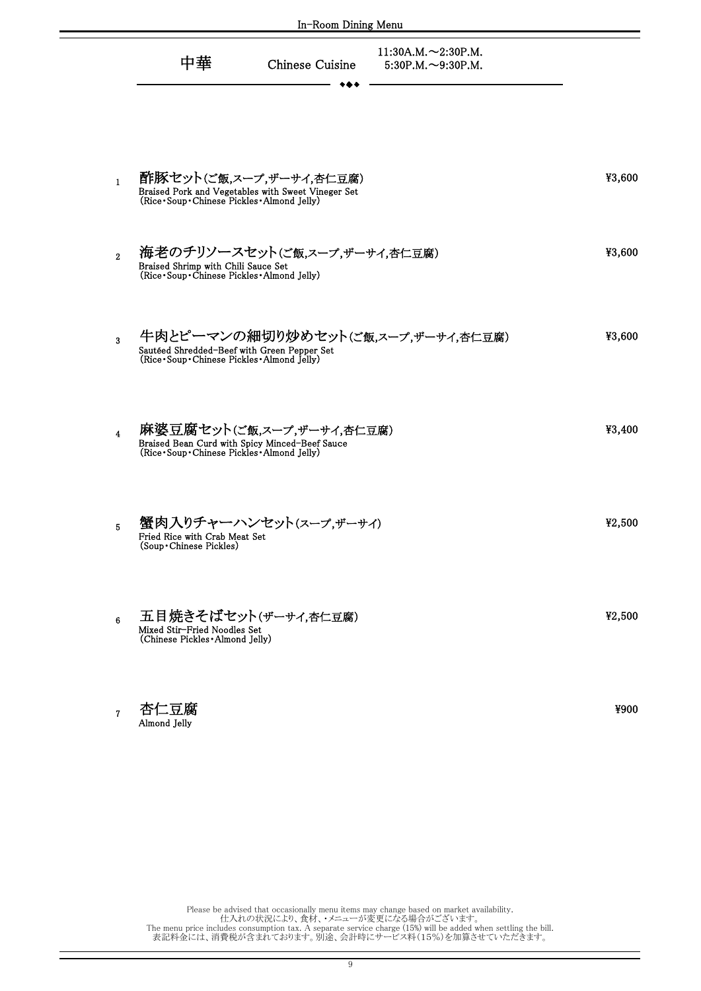| In-Room Dining Menu     |                                                                                                                                 |                                                       |        |  |
|-------------------------|---------------------------------------------------------------------------------------------------------------------------------|-------------------------------------------------------|--------|--|
|                         | 中華<br>Chinese Cuisine                                                                                                           | $11:30A.M. \sim 2:30P.M.$<br>$5:30P.M. \sim 9:30P.M.$ |        |  |
| $\mathbf{1}$            | 酢豚セット(ご飯,スープ,ザーサイ,杏仁豆腐)<br>Braised Pork and Vegetables with Sweet Vineger Set<br>(Rice · Soup · Chinese Pickles · Almond Jelly) |                                                       | ¥3,600 |  |
| $\overline{2}$          | 海老のチリソースセット(ご飯,スープ,ザーサイ,杏仁豆腐)<br>Braised Shrimp with Chili Sauce Set (Rice · Soup · Chinese Pickles · Almond Jelly)             |                                                       | ¥3,600 |  |
| $\overline{\mathbf{3}}$ | 牛肉とピーマンの細切り炒めセット(ご飯スープ、ザーサイ、杏仁豆腐)<br>Sautéed Shredded-Beef with Green Pepper Set<br>(Rice•Soup•Chinese Pickles•Almond Jelly)    |                                                       | ¥3,600 |  |
| $\overline{\mathbf{4}}$ | 麻婆豆腐セット(ご飯,スープ,ザーサイ,杏仁豆腐)<br>Braised Bean Curd with Spicy Minced–Beef Sauce<br>(Rice · Soup · Chinese Pickles · Almond Jelly)   |                                                       | ¥3,400 |  |
| 5                       | 蟹肉入りチャーハンセット(スープ,ザーサイ)<br>Fried Rice with Crab Meat Set<br>(Soup · Chinese Pickles)                                             |                                                       | ¥2,500 |  |
| 6                       | 五目焼きそばセット(ザーサイ,杏仁豆腐)<br>Mixed Stir-Fried Noodles Set<br>(Chinese Pickles • Almond Jelly)                                        |                                                       | ¥2,500 |  |
|                         |                                                                                                                                 |                                                       |        |  |

Please be advised that occasionally menu items may change based on market availability.<br>仕入れの状況により、食材、・メニューが変更になる場合がございます。<br>The menu price includes consumption tax. A separate service charge (15%) will be added when settli

¥900

7

杏仁豆腐 Almond Jelly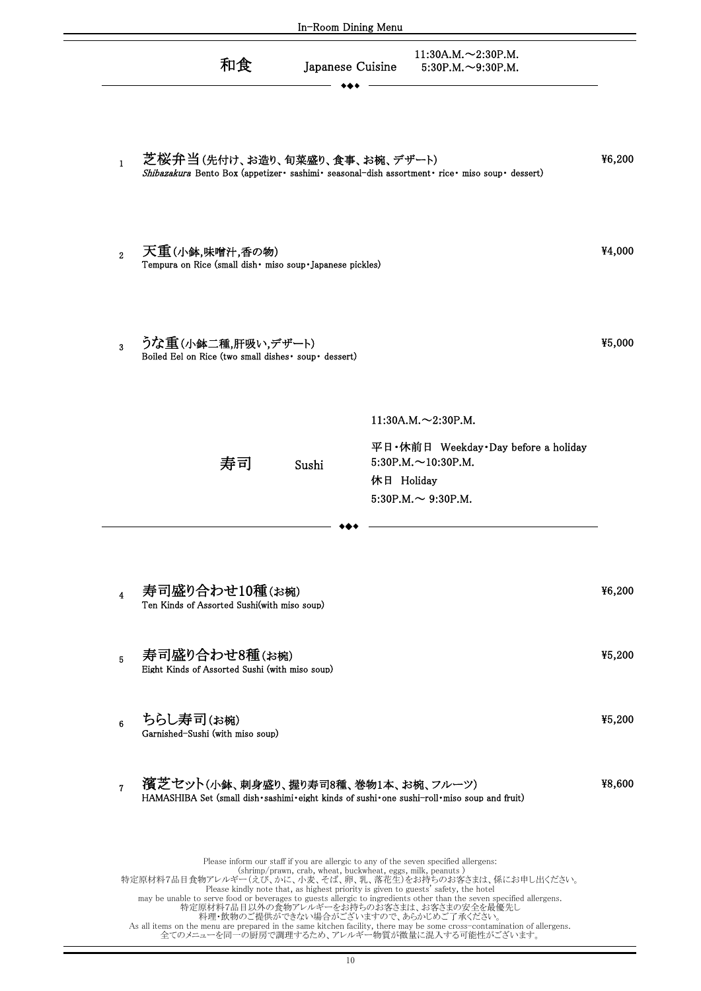| In-Room Dining Menu     |                                                                                                                                                                                                                                                                                                                                                                                                                                                                                                                                                                                                                                                                                                     |        |
|-------------------------|-----------------------------------------------------------------------------------------------------------------------------------------------------------------------------------------------------------------------------------------------------------------------------------------------------------------------------------------------------------------------------------------------------------------------------------------------------------------------------------------------------------------------------------------------------------------------------------------------------------------------------------------------------------------------------------------------------|--------|
|                         | $11:30A.M. \sim 2:30P.M.$<br>和食<br>Japanese Cuisine<br>$5:30P.M. \sim 9:30P.M.$                                                                                                                                                                                                                                                                                                                                                                                                                                                                                                                                                                                                                     |        |
| $\mathbf{1}$            | 芝桜弁当(先付け、お造り、旬菜盛り、食事、お椀、デザート)<br>Shibazakura Bento Box (appetizer · sashimi · seasonal-dish assortment · rice · miso soup · dessert)                                                                                                                                                                                                                                                                                                                                                                                                                                                                                                                                                                | ¥6,200 |
| $\overline{2}$          | 天重(小鉢,味噌汁,香の物)<br>Tempura on Rice (small dish · miso soup · Japanese pickles)                                                                                                                                                                                                                                                                                                                                                                                                                                                                                                                                                                                                                       | ¥4,000 |
| 3                       | うな重(小鉢二種,肝吸い,デザート)<br>Boiled Eel on Rice (two small dishes · soup · dessert)                                                                                                                                                                                                                                                                                                                                                                                                                                                                                                                                                                                                                        | ¥5,000 |
|                         | $11:30A.M. \sim 2:30P.M.$<br>平日·休前日 Weekday·Day before a holiday<br>$5:30P.M. \sim 10:30P.M.$<br>寿司<br>Sushi<br>休日 Holiday<br>$5:30P.M. \sim 9:30P.M.$                                                                                                                                                                                                                                                                                                                                                                                                                                                                                                                                              |        |
| $\overline{\mathbf{4}}$ | 寿司盛り合わせ10種(お椀)<br>Ten Kinds of Assorted Sushi(with miso soup)                                                                                                                                                                                                                                                                                                                                                                                                                                                                                                                                                                                                                                       | ¥6,200 |
| 5                       | 寿司盛り合わせ8種(お椀)<br>Eight Kinds of Assorted Sushi (with miso soup)                                                                                                                                                                                                                                                                                                                                                                                                                                                                                                                                                                                                                                     | ¥5,200 |
| $6\phantom{a}$          | ちらし寿司(お椀)<br>Garnished-Sushi (with miso soup)                                                                                                                                                                                                                                                                                                                                                                                                                                                                                                                                                                                                                                                       | ¥5,200 |
| $\overline{7}$          | 濱芝セット(小鉢、刺身盛り、握り寿司8種、巻物1本、お椀、フルーツ)<br>HAMASHIBA Set (small dish · sashimi · eight kinds of sushi · one sushi-roll · miso soup and fruit)                                                                                                                                                                                                                                                                                                                                                                                                                                                                                                                                                            | ¥8,600 |
|                         | Please inform our staff if you are allergic to any of the seven specified allergens:<br>(shrimp/prawn, crab, wheat, buckwheat, eggs, milk, peanuts)<br>特定原材料7品目食物アレルギー(えび、かに、小麦、そば、卵、乳、落花生)をお持ちのお客さまは、係にお申し出ください。<br>Please kindly note that, as highest priority is given to guests' safety, the hotel<br>may be unable to serve food or beverages to guests allergic to ingredients other than the seven specified allergens.<br>特定原材料7品目以外の食物アレルギーをお持ちのお客さまは、お客さまの安全を最優先し<br>料理・飲物のご提供ができない場合がございますので、あらかじめご了承ください。<br>As all items on the menu are prepared in the same kitchen facility, there may be some cross-contamination of allergens.<br>全てのメニューを同一の厨房で調理するため、アレルギー物質が微量に混入する可能性がございます。 |        |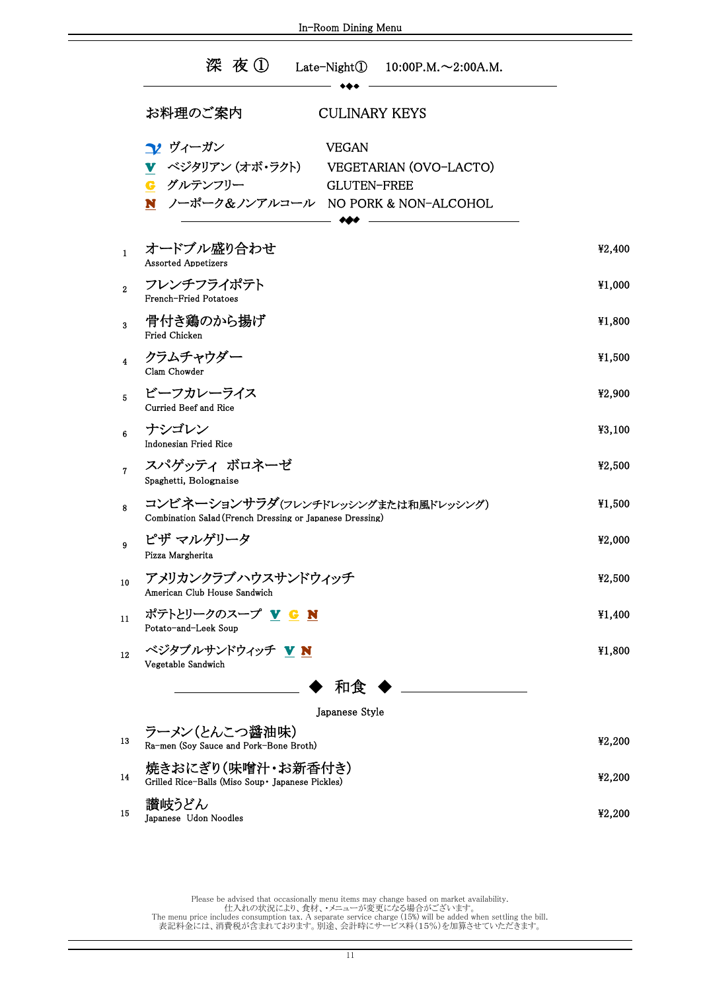|                         | 深夜① Late-Night① 10:00P.M.~2:00A.M.                                                                                                                    |        |
|-------------------------|-------------------------------------------------------------------------------------------------------------------------------------------------------|--------|
|                         | お料理のご案内<br><b>CULINARY KEYS</b>                                                                                                                       |        |
|                         | → ヴィーガン<br><b>VEGAN</b><br>▼ ベジタリアン (オボ・ラクト)<br>VEGETARIAN (OVO-LACTO)<br>G グルテンフリー<br><b>GLUTEN-FREE</b><br>N<br>ノーポーク&ノンアルコール NO PORK & NON-ALCOHOL |        |
| $\mathbf{1}$            | オードブル盛り合わせ<br><b>Assorted Appetizers</b>                                                                                                              | ¥2,400 |
| $\overline{2}$          | フレンチフライポテト<br>French-Fried Potatoes                                                                                                                   | ¥1,000 |
| 3                       | 骨付き鶏のから揚げ<br><b>Fried Chicken</b>                                                                                                                     | ¥1,800 |
| $\overline{\mathbf{4}}$ | クラムチャウダー<br>Clam Chowder                                                                                                                              | ¥1,500 |
| 5                       | ビーフカレーライス<br>Curried Beef and Rice                                                                                                                    | ¥2,900 |
| 6                       | ナシゴレン<br>Indonesian Fried Rice                                                                                                                        | ¥3,100 |
| $\overline{7}$          | スパゲッティ ボロネーゼ<br>Spaghetti, Bolognaise                                                                                                                 | ¥2,500 |
| 8                       | コンビネーションサラダ(フレンチドレッシングまたは和風ドレッシング)<br>Combination Salad (French Dressing or Japanese Dressing)                                                        | ¥1,500 |
| 9                       | ピザ マルゲリータ<br>Pizza Margherita                                                                                                                         | ¥2,000 |
| 10                      | アメリカンクラブハウスサンドウィッチ<br>American Club House Sandwich                                                                                                    | ¥2,500 |
| 11                      | ポテトとリークのスープ V G N<br>Potato-and-Leek Soup                                                                                                             | ¥1,400 |
| 12                      | ベジタブルサンドウィッチ VN<br>Vegetable Sandwich                                                                                                                 | ¥1,800 |
|                         | 和食                                                                                                                                                    |        |
|                         | Japanese Style                                                                                                                                        |        |
| 13                      | ラーメン(とんこつ醤油味)<br>Ra-men (Soy Sauce and Pork-Bone Broth)                                                                                               | ¥2,200 |
| 14                      | 焼きおにぎり(味噌汁・お新香付き)<br>Grilled Rice-Balls (Miso Soup • Japanese Pickles)                                                                                | ¥2,200 |
| 15                      | 讃岐うどん<br>Japanese Udon Noodles                                                                                                                        | ¥2,200 |

In-Room Dining Menu

The menu price includes consumption tax. A separate service charge (15%) will be added when settling the bill. 表記料金には、消費税が含まれております。別途、会計時にサービス料(15%)を加算させていただきます。 Please be advised that occasionally menu items may change based on market availability. 仕入れの状況により、食材、・メニューが変更になる場合がございます。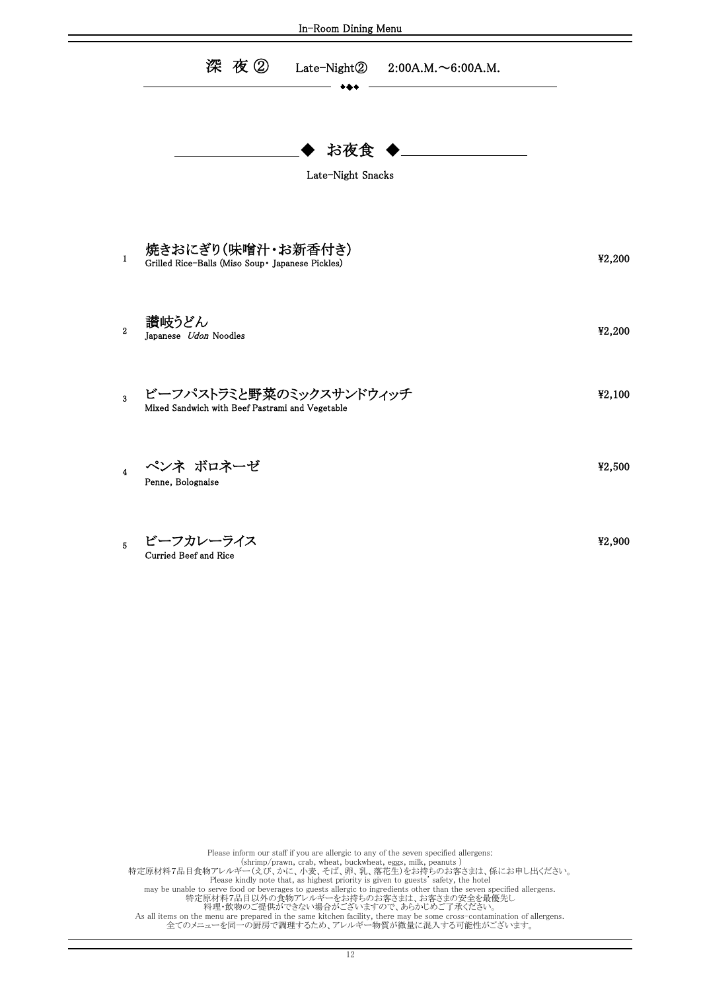| In-Room Dining Menu     |                                                                            |        |  |  |
|-------------------------|----------------------------------------------------------------------------|--------|--|--|
|                         | 深夜②<br>Late-Night②<br>$2:00A.M. \sim 6:00A.M.$                             |        |  |  |
|                         | お夜食<br>Late-Night Snacks                                                   |        |  |  |
| $\mathbf{1}$            | 焼きおにぎり(味噌汁・お新香付き)<br>Grilled Rice-Balls (Miso Soup• Japanese Pickles)      | ¥2,200 |  |  |
| $\boldsymbol{2}$        | 讃岐うどん<br>Japanese Udon Noodles                                             | ¥2,200 |  |  |
| 3                       | ビーフパストラミと野菜のミックスサンドウィッチ<br>Mixed Sandwich with Beef Pastrami and Vegetable | ¥2,100 |  |  |
| $\overline{\mathbf{4}}$ | ペンネ ボロネーゼ<br>Penne, Bolognaise                                             | ¥2,500 |  |  |
| 5.                      | ビーフカレーライス<br>Curried Beef and Rice                                         | ¥2,900 |  |  |
|                         |                                                                            |        |  |  |

特定原材料7品目以外の食物アレルギーをお持ちのお客さまは、お客さまの安全を最優先し Please inform our staff if you are allergic to any of the seven specified allergens:<br>
Shrimp/prawn, crab, wheat, buckwheat, eggs, milk, peanuts )<br>
特定原材料7品目食物アレルギー(えび、かに、小麦、花ど、小原、落花生)をお持ちのお客さまは、係にお申し出ください。<br>
Please ki 料理・飲物のご提供ができない場合がございますので、あらかじめご了承ください。<br>As all items on the menu are prepared in the same kitchen facility, there may be some cross-contamination of allergens.<br>全てのメニューを同一の厨房で調理するため、アレルギー物質が微量に混入する可能性がございます。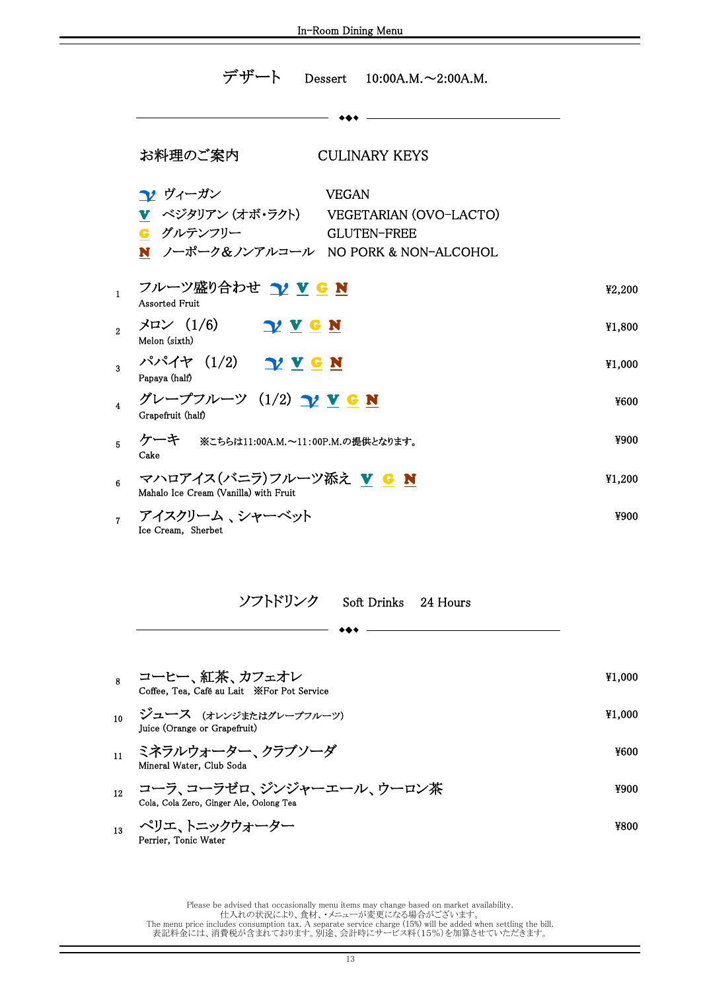I

|              | デザート<br>Dessert $10:00A.M. \sim 2:00A.M.$                                                                                                              |        |
|--------------|--------------------------------------------------------------------------------------------------------------------------------------------------------|--------|
|              |                                                                                                                                                        |        |
|              | お料理のご案内<br><b>CULINARY KEYS</b>                                                                                                                        |        |
|              | <b>1</b> ヴィーガン<br><b>VEGAN</b><br>▼ ベジタリアン (オボ・ラクト) VEGETARIAN (OVO-LACTO)<br>G グルテンフリー<br><b>GLUTEN-FREE</b><br>N ノーポーク&ノンアルコール NO PORK & NON-ALCOHOL |        |
| $\mathbf{1}$ | フルーツ盛り合わせ 12 V G N<br><b>Assorted Fruit</b>                                                                                                            | ¥2,200 |
| 2            | $\forall$ u $\angle$ (1/6) $\gamma$ <u>v</u> <b>e N</b><br>Melon (sixth)                                                                               | ¥1,800 |
| 3            | パパイヤ (1/2) <u>ソ V G N</u><br>Papaya (half)                                                                                                             | ¥1,000 |
| 4            | グレープフルーツ (1/2) <u>ン V G N</u><br>Grapefruit (half)                                                                                                     | ¥600   |
| 5            | ケーキ ※こちらは11:00A.M.~11:00P.M.の提供となります。<br>Cake                                                                                                          | ¥900   |
| 6            | マハロアイス(バニラ)フルーツ添え V G N<br>Mahalo Ice Cream (Vanilla) with Fruit                                                                                       | ¥1,200 |
| 7            | アイスクリーム 、シャーベット<br>Ice Cream, Sherbet                                                                                                                  | ¥900   |

| ソフトドリンク | Soft Drinks 24 Hours |  |
|---------|----------------------|--|
|         |                      |  |

Mineral Water, Club Soda ¥1,000 Coffee, Tea, Café au Lait ※For Pot Service 10 ジュース (オレンジまたはグレープフルーツ)  $\qquad \qquad \mathcal{V} = \mathcal{V} \mathcal{V}$  ¥1,000 Juice (Orange or Grapefruit) <sup>8</sup> コーヒー、紅茶、カフェオレ <sub>12</sub> コーラ、コーラゼロ、ジンジャーエール、ウーロン茶<br>Cola, Cola Zero, Ginger Ale, Oolong Tea  $_{11}$  ミネラルウォーター、クラブソーダ  $_{11}$   $\leq$   $\sim$   $_{13}$   $_{14}$   $\leq$   $\sim$   $_{1500}$ 

 $^{13}$  ペリエ、トニックウォーター  $^{13}$ Perrier, Tonic Water

- 
-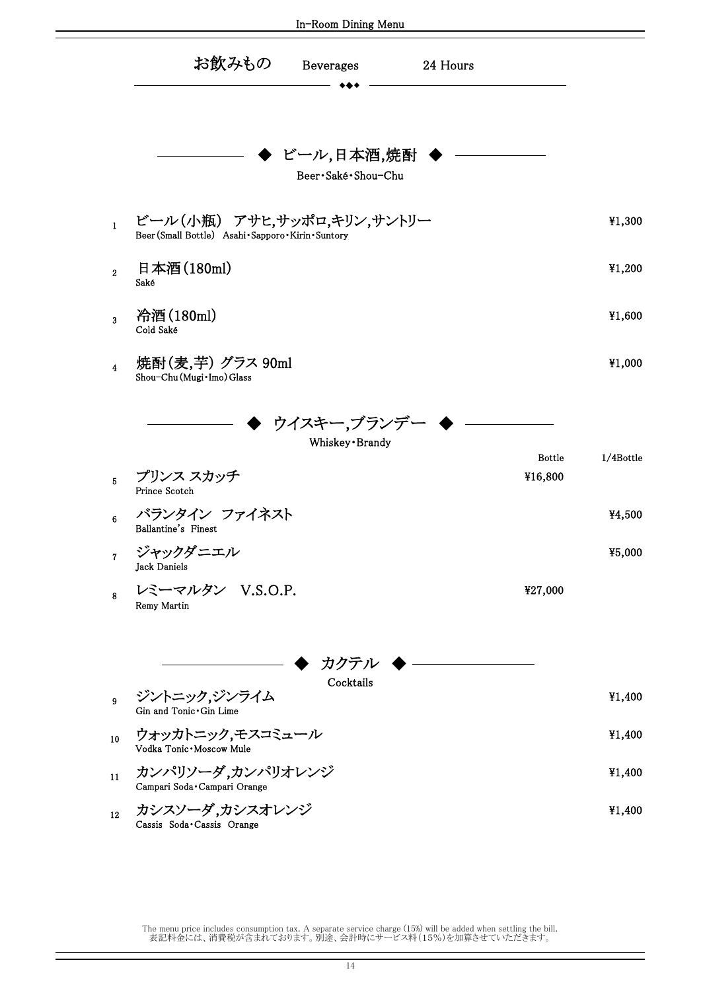|                         |                                                                                     | In-Room Dining Menu                  |          |         |           |
|-------------------------|-------------------------------------------------------------------------------------|--------------------------------------|----------|---------|-----------|
|                         | お飲みもの                                                                               | Beverages                            | 24 Hours |         |           |
|                         |                                                                                     | ビール,日本酒,焼酎<br>Beer · Saké · Shou-Chu |          |         |           |
| $\mathbf{1}$            | ビール(小瓶) アサヒ,サッポロ,キリン,サントリー<br>Beer (Small Bottle) Asahi · Sapporo · Kirin · Suntory |                                      |          |         | ¥1,300    |
| $\overline{2}$          | 日本酒(180ml)<br>Saké                                                                  |                                      |          |         | ¥1,200    |
| $\overline{3}$          | 冷酒(180ml)<br>Cold Saké                                                              |                                      |          |         | ¥1,600    |
| $\overline{\mathbf{4}}$ | 焼酎(麦,芋) グラス 90ml<br>Shou-Chu (Mugi · Imo) Glass                                     |                                      |          |         | ¥1,000    |
|                         |                                                                                     | ウイスキー,ブランデ<br>Whiskey · Brandy       |          | Bottle  | 1/4Bottle |
| $\overline{5}$          | プリンス スカッチ<br>Prince Scotch                                                          |                                      |          | ¥16,800 |           |
| $\bf 6$                 | バランタイン ファイネスト<br>Ballantine's Finest                                                |                                      |          |         | ¥4,500    |
| $\overline{\mathbf{7}}$ | ジャックダニエル<br>Jack Daniels                                                            |                                      |          |         | ¥5,000    |
| 8                       | レミーマルタン V.S.O.P.<br>Remy Martin                                                     |                                      |          | ¥27,000 |           |
|                         |                                                                                     | カクテル                                 |          |         |           |
| 9                       | ジントニック,ジンライム<br>Gin and Tonic .Gin Lime                                             | Cocktails                            |          |         | ¥1,400    |
| 10                      | ウォッカトニック,モスコミュール<br>Vodka Tonic · Moscow Mule                                       |                                      |          |         | ¥1,400    |
| 11                      | カンパリソーダ,カンパリオレンジ<br>Campari Soda Campari Orange                                     |                                      |          |         | ¥1,400    |
| $12\,$                  | カシスソーダ,カシスオレンジ<br>Cassis Soda Cassis Orange                                         |                                      |          |         | ¥1,400    |

The menu price includes consumption tax. A separate service charge (15%) will be added when settling the bill. 表記料金には、消費税が含まれております。別途、会計時にサービス料(15%)を加算させていただきます。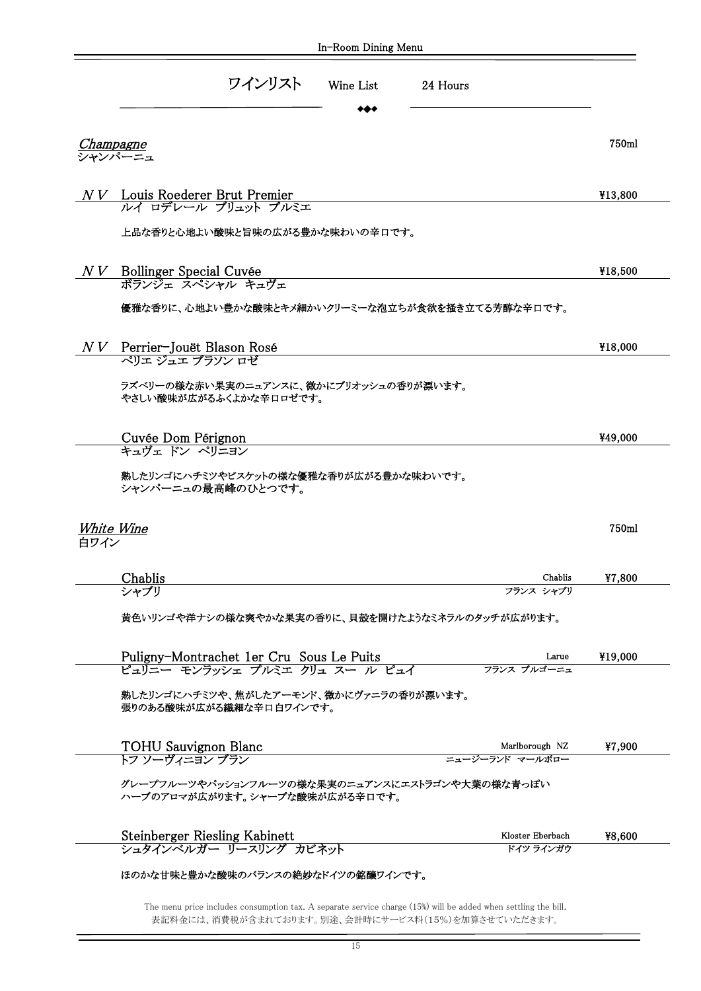|      | ワインリスト<br>Wine List                                                                                                                              | 24 Hours                      |                  |
|------|--------------------------------------------------------------------------------------------------------------------------------------------------|-------------------------------|------------------|
|      | <u>Champagne</u><br>シャンパーニュ                                                                                                                      |                               | 750ml            |
|      |                                                                                                                                                  |                               |                  |
|      | $N V$ Louis Roederer Brut Premier<br>ルイ ロデレール ブリュット プルミエ                                                                                         |                               | ¥13,800          |
|      | 上品な香りと心地よい酸味と旨味の広がる豊かな味わいの辛口です。                                                                                                                  |                               |                  |
|      | NV Bollinger Special Cuvée<br>ボランジェ スペシャル キュヴェ                                                                                                   |                               | ¥18,500          |
|      | 優雅な香りに、心地よい豊かな酸味とキメ細かいクリーミーな泡立ちが食欲を掻き立てる芳醇な辛ロです。                                                                                                 |                               |                  |
|      |                                                                                                                                                  |                               |                  |
|      | $N V$ Perrier-Jouët Blason Rosé<br>ペリエ ジュエ ブラソン ロゼ                                                                                               |                               | ¥18,000          |
|      | ラズベリーの様な赤い果実のニュアンスに、微かにブリオッシュの香りが漂います。<br>やさしい酸味が広がるふくよかな辛口ロゼです。                                                                                 |                               |                  |
|      |                                                                                                                                                  |                               |                  |
|      | Cuvée Dom Pérignon<br>キュヴェ ドン ペリニヨン                                                                                                              |                               |                  |
|      | 熟したリンゴにハチミツやビスケットの様な優雅な香りが広がる豊かな味わいです。<br>シャンパーニュの最高峰のひとつです。<br>White Wine                                                                       |                               |                  |
|      |                                                                                                                                                  | Chablis                       | ¥49,000<br>750ml |
|      | <b>Chablis</b><br>シャブリ                                                                                                                           | フランス シャブリ                     | ¥7,800           |
|      | 黄色いリンゴや洋ナシの様な爽やかな果実の香りに、貝殻を開けたようなミネラルのタッチが広がります。                                                                                                 |                               |                  |
|      |                                                                                                                                                  | Larue<br>フランス ブルゴーニュ          | ¥19,000          |
|      | Puligny-Montrachet 1er Cru Sous Le Puits<br>ピュリニー モンラッシェ プルミエ クリュ スー ル ピュイ<br>熟したリンゴにハチミツや、焦がしたアーモンド、微かにヴァニラの香りが漂います。<br>張りのある酸味が広がる繊細な辛口白ワインです。 |                               |                  |
|      |                                                                                                                                                  | Marlborough NZ                |                  |
|      | TOHU Sauvignon Blanc<br>トフ ソーヴィニヨン ブラン<br>グレープフルーツやパッションフルーツの様な果実のニュアンスにエストラゴンや大葉の様な青っぽい                                                         | ニュージーランド マールボロー               |                  |
|      | ハーブのアロマが広がります。シャープな酸味が広がる辛口です。                                                                                                                   |                               |                  |
| 白ワイン | Steinberger Riesling Kabinett<br>シュタインベルガー リースリング カビネット                                                                                          | Kloster Eberbach<br>ドイツ ラインガウ | ¥7,900<br>¥8,600 |

The menu price includes consumption tax. A separate service charge (15%) will be added when settling the bill. 表記料金には、消費税が含まれております。別途、会計時にサービス料(15%)を加算させていただきます。